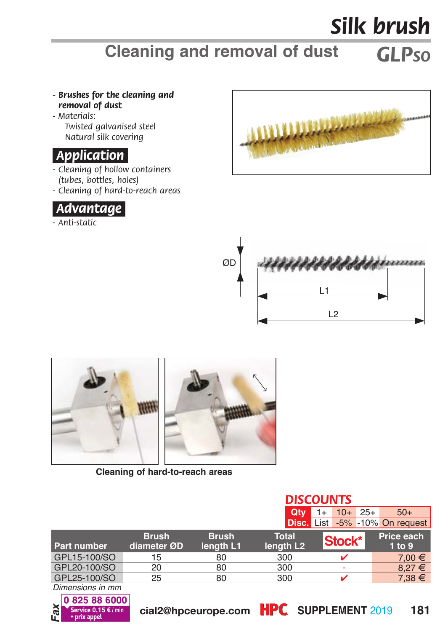## *Silk brush*

## *GLPSO* **Cleaning and removal of dust**

- *Brushes for the cleaning and removal of dust*
- *Materials: Twisted galvanised steel Natural silk covering*

## *.Application.*

- *Cleaning of hollow containers (tubes, bottles, holes)*
- *Cleaning of hard-to-reach areas*



*- Anti-static*









**Cleaning of hard-to-reach areas**

|                    |                             | <b>DISCOUNTS</b>          |                                       |  |        |          |                                       |
|--------------------|-----------------------------|---------------------------|---------------------------------------|--|--------|----------|---------------------------------------|
|                    |                             |                           | Qtv                                   |  |        | $10+25+$ | $50+$                                 |
|                    |                             |                           |                                       |  |        |          | <b>Disc.</b> List -5% -10% On request |
| <b>Part number</b> | <b>Brush</b><br>diameter ØD | <b>Brush</b><br>length L1 | <b>Total</b><br>length L <sub>2</sub> |  | Stock* |          | Price each<br>1 to 9                  |
| GPL15-100/SO       | 15                          | 80                        | 300                                   |  |        |          | $7.00 \in$                            |
| GPL20-100/SO       | 20                          | 80                        | 300                                   |  |        |          | $8.27 \in$                            |
| GPL25-100/SO<br>__ | 25                          | 80                        | 300                                   |  |        |          | $7,38 \in$                            |

*Dimensions in mm*